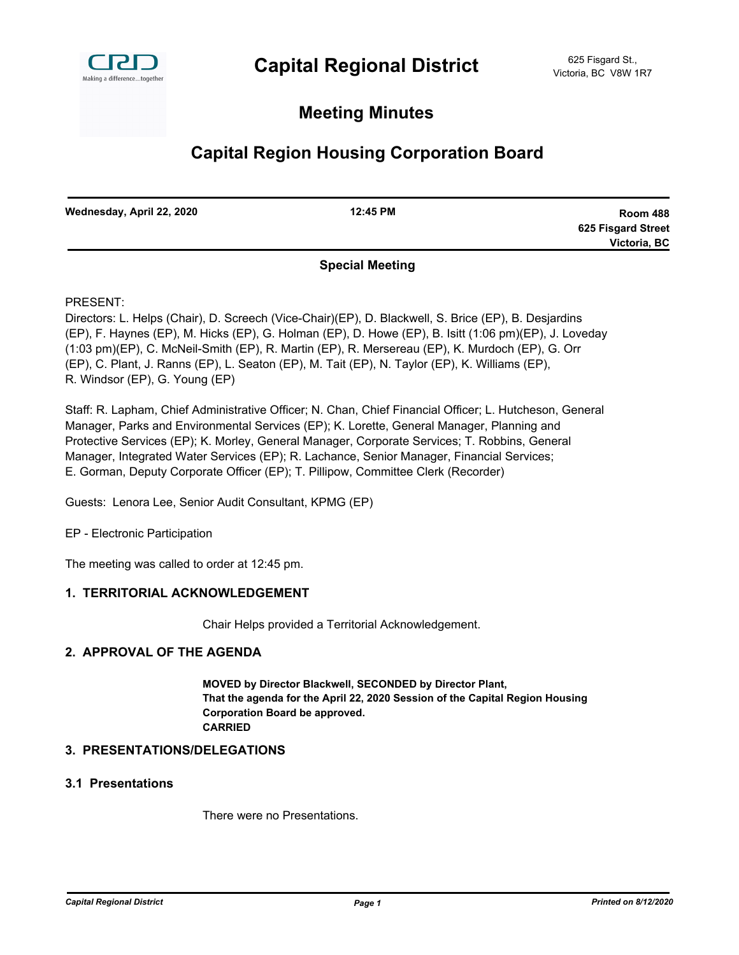

## **Meeting Minutes**

# **Capital Region Housing Corporation Board**

| Wednesday, April 22, 2020 | 12:45 PM                | <b>Room 488</b>    |
|---------------------------|-------------------------|--------------------|
|                           |                         | 625 Fisgard Street |
|                           |                         | Victoria, BC       |
|                           | <b>Concial Montinal</b> |                    |

## **Special Meeting**

PRESENT:

Directors: L. Helps (Chair), D. Screech (Vice-Chair)(EP), D. Blackwell, S. Brice (EP), B. Desjardins (EP), F. Haynes (EP), M. Hicks (EP), G. Holman (EP), D. Howe (EP), B. Isitt (1:06 pm)(EP), J. Loveday (1:03 pm)(EP), C. McNeil-Smith (EP), R. Martin (EP), R. Mersereau (EP), K. Murdoch (EP), G. Orr (EP), C. Plant, J. Ranns (EP), L. Seaton (EP), M. Tait (EP), N. Taylor (EP), K. Williams (EP), R. Windsor (EP), G. Young (EP)

Staff: R. Lapham, Chief Administrative Officer; N. Chan, Chief Financial Officer; L. Hutcheson, General Manager, Parks and Environmental Services (EP); K. Lorette, General Manager, Planning and Protective Services (EP); K. Morley, General Manager, Corporate Services; T. Robbins, General Manager, Integrated Water Services (EP); R. Lachance, Senior Manager, Financial Services; E. Gorman, Deputy Corporate Officer (EP); T. Pillipow, Committee Clerk (Recorder)

Guests: Lenora Lee, Senior Audit Consultant, KPMG (EP)

EP - Electronic Participation

The meeting was called to order at 12:45 pm.

### **1. TERRITORIAL ACKNOWLEDGEMENT**

Chair Helps provided a Territorial Acknowledgement.

## **2. APPROVAL OF THE AGENDA**

**MOVED by Director Blackwell, SECONDED by Director Plant, That the agenda for the April 22, 2020 Session of the Capital Region Housing Corporation Board be approved. CARRIED**

#### **3. PRESENTATIONS/DELEGATIONS**

## **3.1 Presentations**

There were no Presentations.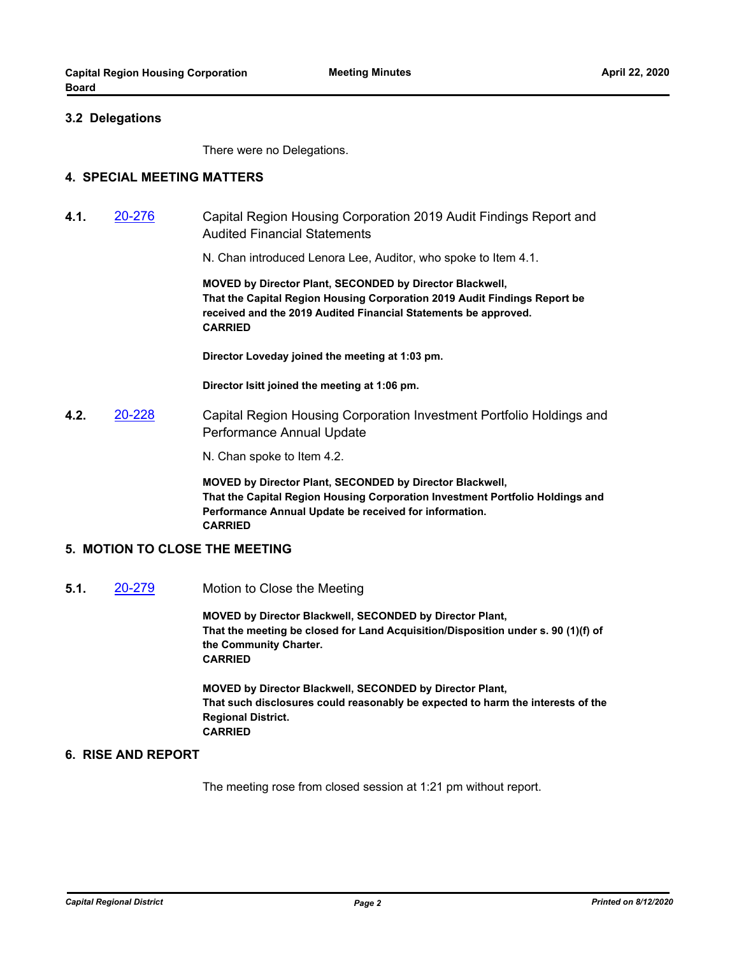#### **3.2 Delegations**

There were no Delegations.

#### **4. SPECIAL MEETING MATTERS**

**4.1.** [20-276](http://crd.ca.legistar.com/gateway.aspx?m=l&id=/matter.aspx?key=6410) Capital Region Housing Corporation 2019 Audit Findings Report and Audited Financial Statements

N. Chan introduced Lenora Lee, Auditor, who spoke to Item 4.1.

**MOVED by Director Plant, SECONDED by Director Blackwell, That the Capital Region Housing Corporation 2019 Audit Findings Report be received and the 2019 Audited Financial Statements be approved. CARRIED**

**Director Loveday joined the meeting at 1:03 pm.**

**Director Isitt joined the meeting at 1:06 pm.**

**4.2.** [20-228](http://crd.ca.legistar.com/gateway.aspx?m=l&id=/matter.aspx?key=6362) Capital Region Housing Corporation Investment Portfolio Holdings and Performance Annual Update

N. Chan spoke to Item 4.2.

**MOVED by Director Plant, SECONDED by Director Blackwell, That the Capital Region Housing Corporation Investment Portfolio Holdings and Performance Annual Update be received for information. CARRIED**

#### **5. MOTION TO CLOSE THE MEETING**

**5.1.** [20-279](http://crd.ca.legistar.com/gateway.aspx?m=l&id=/matter.aspx?key=6413) Motion to Close the Meeting

**MOVED by Director Blackwell, SECONDED by Director Plant, That the meeting be closed for Land Acquisition/Disposition under s. 90 (1)(f) of the Community Charter. CARRIED**

**MOVED by Director Blackwell, SECONDED by Director Plant, That such disclosures could reasonably be expected to harm the interests of the Regional District. CARRIED**

#### **6. RISE AND REPORT**

The meeting rose from closed session at 1:21 pm without report.